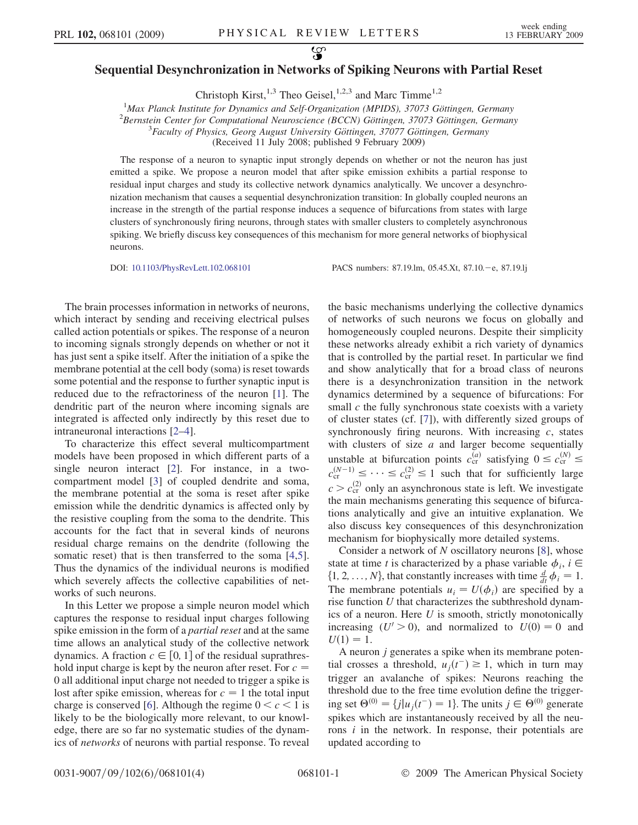## Sequential Desynchronization in Networks of Spiking Neurons with Partial Reset

Christoph Kirst,<sup>1,3</sup> Theo Geisel,<sup>1,2,3</sup> and Marc Timme<sup>1,2</sup>

<sup>1</sup>Max Planck Institute for Dynamics and Self-Organization (MPIDS), 37073 Göttingen, Germany<br><sup>2</sup> Bernstein Center for Computational Neurosciance (BCCN) Göttingen, 37073 Göttingen, German

 ${}^{2}$ Bernstein Center for Computational Neuroscience (BCCN) Göttingen, 37073 Göttingen, Germany

 ${}^{3}$ Faculty of Physics, Georg August University Göttingen, 37077 Göttingen, Germany

(Received 11 July 2008; published 9 February 2009)

The response of a neuron to synaptic input strongly depends on whether or not the neuron has just emitted a spike. We propose a neuron model that after spike emission exhibits a partial response to residual input charges and study its collective network dynamics analytically. We uncover a desynchronization mechanism that causes a sequential desynchronization transition: In globally coupled neurons an increase in the strength of the partial response induces a sequence of bifurcations from states with large clusters of synchronously firing neurons, through states with smaller clusters to completely asynchronous spiking. We briefly discuss key consequences of this mechanism for more general networks of biophysical neurons.

DOI: [10.1103/PhysRevLett.102.068101](http://dx.doi.org/10.1103/PhysRevLett.102.068101) PACS numbers: 87.19.lm, 05.45.Xt, 87.10.-e, 87.19.lj

The brain processes information in networks of neurons, which interact by sending and receiving electrical pulses called action potentials or spikes. The response of a neuron to incoming signals strongly depends on whether or not it has just sent a spike itself. After the initiation of a spike the membrane potential at the cell body (soma) is reset towards some potential and the response to further synaptic input is reduced due to the refractoriness of the neuron [1]. The dendritic part of the neuron where incoming signals are integrated is affected only indirectly by this reset due to intraneuronal interactions [2–4].

To characterize this effect several multicompartment models have been proposed in which different parts of a single neuron interact [2]. For instance, in a twocompartment model [3] of coupled dendrite and soma, the membrane potential at the soma is reset after spike emission while the dendritic dynamics is affected only by the resistive coupling from the soma to the dendrite. This accounts for the fact that in several kinds of neurons residual charge remains on the dendrite (following the somatic reset) that is then transferred to the soma [4,5]. Thus the dynamics of the individual neurons is modified which severely affects the collective capabilities of networks of such neurons.

In this Letter we propose a simple neuron model which captures the response to residual input charges following spike emission in the form of a *partial reset* and at the same time allows an analytical study of the collective network dynamics. A fraction  $c \in [0, 1]$  of the residual suprathres-<br>hold input charge is kept by the neuron after reset. For  $c =$ hold input charge is kept by the neuron after reset. For  $c =$ 0 all additional input charge not needed to trigger a spike is lost after spike emission, whereas for  $c = 1$  the total input charge is conserved [6]. Although the regime  $0 < c < 1$  is likely to be the biologically more relevant, to our knowledge, there are so far no systematic studies of the dynamics of networks of neurons with partial response. To reveal

the basic mechanisms underlying the collective dynamics of networks of such neurons we focus on globally and homogeneously coupled neurons. Despite their simplicity these networks already exhibit a rich variety of dynamics that is controlled by the partial reset. In particular we find and show analytically that for a broad class of neurons there is a desynchronization transition in the network dynamics determined by a sequence of bifurcations: For small  $c$  the fully synchronous state coexists with a variety of cluster states (cf. [7]), with differently sized groups of synchronously firing neurons. With increasing  $c$ , states with clusters of size  $a$  and larger become sequentially unstable at bifurcation points  $c_{cr}^{(a)}$  satisfying  $0 \leq c_{cr}^{(N)} \leq$  $c_{\text{cr}}^{(N-1)} \leq \cdots \leq c_{\text{cr}}^{(2)} \leq 1$  such that for sufficiently large  $c > c_{cr}^{(2)}$  only an asynchronous state is left. We investigate the main mechanisms generating this sequence of bifurcations analytically and give an intuitive explanation. We also discuss key consequences of this desynchronization mechanism for biophysically more detailed systems.

Consider a network of  $N$  oscillatory neurons [8], whose state at time t is characterized by a phase variable  $\phi_i$ ,  $i \in$  $\{1, 2, ..., N\}$ , that constantly increases with time  $\frac{d}{dt} \phi_i = 1$ .<br>The membrane potentials  $u_i = U(\phi_i)$  are specified by a The membrane potentials  $u_i = U(\phi_i)$  are specified by a rise function  $U$  that characterizes the subthreshold dynamics of a neuron. Here U is smooth, strictly monotonically increasing  $(U' > 0)$ , and normalized to  $U(0) = 0$  and  $U(1) = 1.$ 

A neuron j generates a spike when its membrane potential crosses a threshold,  $u_j(t^-) \ge 1$ , which in turn may<br>trigger an avalanche of spikes: Neurons reaching the trigger an avalanche of spikes: Neurons reaching the threshold due to the free time evolution define the triggering set  $\Theta^{(0)} = \{j | u_j(t^{-}) = 1\}$ . The units  $j \in \Theta^{(0)}$  generate spikes which are instantaneously received by all the neurons  $i$  in the network. In response, their potentials are updated according to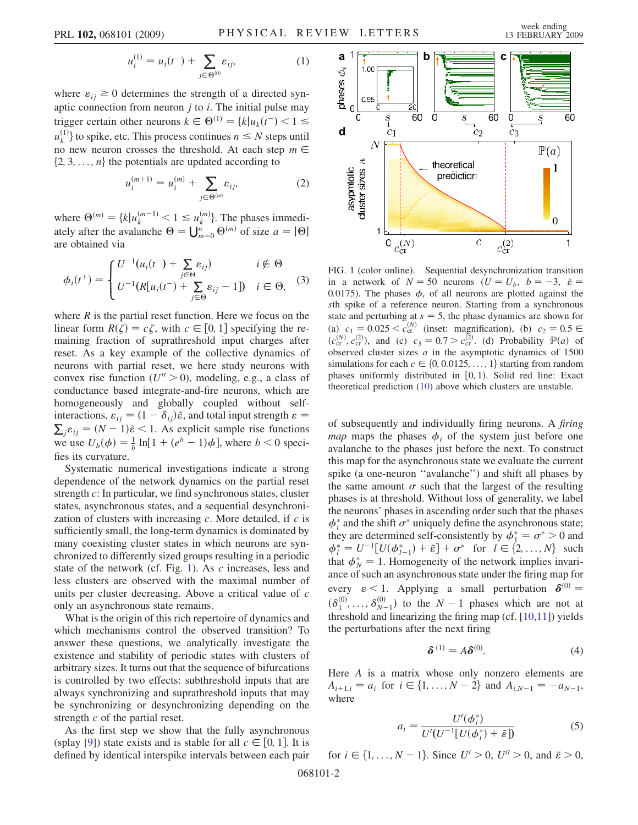$$
u_i^{(1)} = u_i(t^{-}) + \sum_{j \in \Theta^{(0)}} \varepsilon_{ij}, \tag{1}
$$

<span id="page-1-1"></span>where  $\varepsilon_{ij} \geq 0$  determines the strength of a directed synaptic connection from neuron  $j$  to  $i$ . The initial pulse may trigger certain other neurons  $k \in \Theta^{(1)} = \{k | u_k(t^{-}) < 1 \le u^{(1)}\}$  to exilte ate This precess continuous  $u \leq N$  steps until  $u_k^{(1)}$  to spike, etc. This process continues  $n \leq N$  steps until<br>no new neuron crosses the threshold. At each step  $m \in$ no new neuron crosses the threshold. At each step  $m \in$  $\{2, 3, \ldots, n\}$  the potentials are updated according to

$$
u_i^{(m+1)} = u_i^{(m)} + \sum_{j \in \Theta^{(m)}} \varepsilon_{ij}, \tag{2}
$$

<span id="page-1-0"></span>where  $\Theta^{(m)} = \{k | u_k^{(m-1)} < 1 \le u_k^{(m)}\}$ . The phases immedi-<br>ately ofter the avalanche  $\Theta = \prod_{k=1}^{n} \Theta^{(m)}$  of size  $a = |\Theta|$ ately after the avalanche  $\Theta = \bigcup_{m=0}^{n} \Theta^{(m)}$  of size  $a = |\Theta|$ <br>are obtained via are obtained via

$$
\phi_i(t^+) = \begin{cases} U^{-1}(u_i(t^-) + \sum_{j \in \Theta} \varepsilon_{ij}) & i \notin \Theta \\ U^{-1}(R[u_i(t^-) + \sum_{j \in \Theta} \varepsilon_{ij} - 1]) & i \in \Theta, \end{cases}
$$
 (3)

where  $R$  is the partial reset function. Here we focus on the linear form  $R(\zeta) = c\zeta$ , with  $c \in [0, 1]$  specifying the re-<br>maining fraction of suprathreshold input charges after maining fraction of suprathreshold input charges after reset. As a key example of the collective dynamics of neurons with partial reset, we here study neurons with convex rise function  $(U'' > 0)$ , modeling, e.g., a class of conductance based integrate-and-fire neurons, which are homogeneously and globally coupled without selfinteractions,  $\varepsilon_{ij} = (1 - \delta_{ij})\tilde{\varepsilon}$ , and total input strength  $\varepsilon = \sum_j \varepsilon_{ij} = (N - 1)\tilde{\varepsilon} < 1$ . As explicit sample rise functions<br>we use  $U_n(\phi) = \frac{1}{2} \ln[1 + (e^b - 1)\phi]$  where  $b < 0$  speciwe use  $U_b(\phi) = \frac{1}{b} \ln[1 + (e^b - 1)\phi]$ , where  $b < 0$  specifies its curvature.

Systematic numerical investigations indicate a strong dependence of the network dynamics on the partial reset strength c: In particular, we find synchronous states, cluster states, asynchronous states, and a sequential desynchronization of clusters with increasing  $c$ . More detailed, if  $c$  is sufficiently small, the long-term dynamics is dominated by many coexisting cluster states in which neurons are synchronized to differently sized groups resulting in a periodic state of the network (cf. Fig. 1). As c increases, less and less clusters are observed with the maximal number of units per cluster decreasing. Above a critical value of c only an asynchronous state remains.

What is the origin of this rich repertoire of dynamics and which mechanisms control the observed transition? To answer these questions, we analytically investigate the existence and stability of periodic states with clusters of arbitrary sizes. It turns out that the sequence of bifurcations is controlled by two effects: subthreshold inputs that are always synchronizing and suprathreshold inputs that may be synchronizing or desynchronizing depending on the strength c of the partial reset.

As the first step we show that the fully asynchronous (splay [9]) state exists and is stable for all  $c \in [0, 1]$ . It is defined by identical interspike intervals between each pair defined by identical interspike intervals between each pair



FIG. 1 (color online). Sequential desynchronization transition in a network of  $N = 50$  neurons  $(U = U_h, b = -3, \tilde{\varepsilon})$ 0.0175). The phases  $\phi_i$  of all neurons are plotted against the sth spike of a reference neuron. Starting from a synchronous state and perturbing at  $s = 5$ , the phase dynamics are shown for (a)  $c_1 = 0.025 < c_{cr}^{(N)}$  (inset: magnification), (b)  $c_2 = 0.5 \in$  $(c_{\rm cr}^{(N)}, c_{\rm cr}^{(2)})$ , and (c)  $c_3 = 0.7 > c_{\rm cr}^{(2)}$ . (d) Probability  $\mathbb{P}(a)$  of observed cluster sizes a in the asymptotic dynamics of 1500 observed cluster sizes  $a$  in the asymptotic dynamics of 1500 simulations for each  $c \in \{0, 0.0125, \ldots, 1\}$  starting from random phases uniformly distributed in  $[0, 1)$ . Solid red line: Exact theoretical prediction ([10](#page-2-0)) above which clusters are unstable.

of subsequently and individually firing neurons. A firing *map* maps the phases  $\phi_i$  of the system just before one avalanche to the phases just before the next. To construct this map for the asynchronous state we evaluate the current spike (a one-neuron ''avalanche'') and shift all phases by the same amount  $\sigma$  such that the largest of the resulting phases is at threshold. Without loss of generality, we label the neurons' phases in ascending order such that the phases  $\phi_i^*$  and the shift  $\sigma^*$  uniquely define the asynchronous state; they are determined self-consistently by  $\phi_1^* = \sigma^* > 0$  and  $\phi_1^* = U^{-1}[U(\phi_1^*) + \tilde{\epsilon}] + \sigma^*$  for  $I \in \{2, ..., N\}$  such  $\phi_l^* = U^{-1}[U(\phi_{l-1}^*) + \tilde{\epsilon}] + \sigma^*$  for  $l \in \{2, ..., N\}$  such that  $\phi^* = 1$  Homogeneity of the network implies invarithat  $\phi_N^* = 1$ . Homogeneity of the network implies invariance of such an asynchronous state under the firing man for ance of such an asynchronous state under the firing map for every  $\epsilon$  < 1. Applying a small perturbation  $\delta^{(0)}$  =  $(\delta_1^{(0)}, \ldots, \delta_{N-1}^{(0)})$  to the  $N-1$  phases which are not at threshold and linearizing the firing man (cf. [10, 11]) vields threshold and linearizing the firing map (cf. [10,11]) yields the perturbations after the next firing

$$
\delta^{(1)} = A\delta^{(0)}.
$$
 (4)

Here A is a matrix whose only nonzero elements are  $A_{i+1,i} = a_i$  for  $i \in \{1, ..., N-2\}$  and  $A_{i,N-1} = -a_{N-1}$ , where

$$
a_i = \frac{U'(\phi_i^*)}{U'(U^{-1}[U(\phi_i^*) + \tilde{\varepsilon}])}
$$
(5)

for  $i \in \{1, ..., N - 1\}$ . Since  $U' > 0$ ,  $U'' > 0$ , and  $\tilde{\varepsilon} > 0$ ,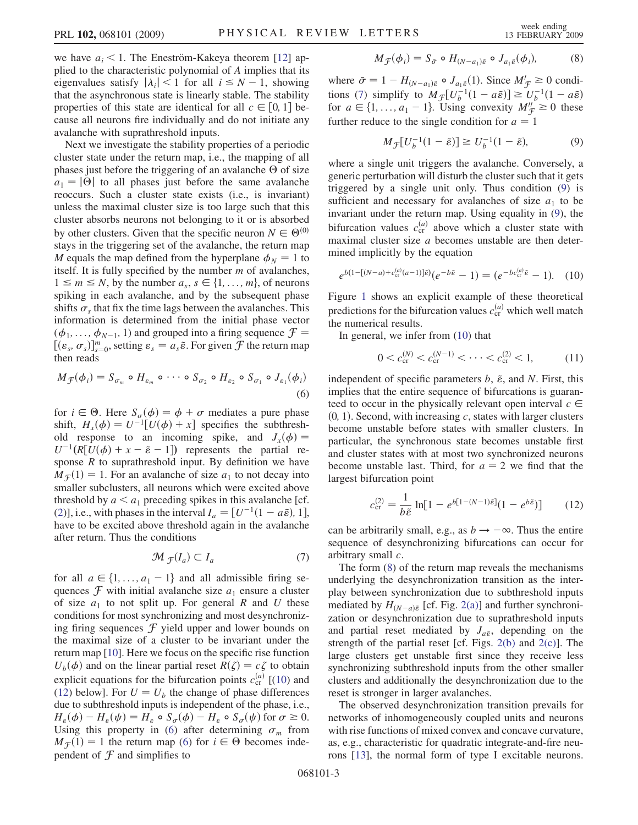we have  $a_i < 1$ . The Eneström-Kakeya theorem [12] applied to the characteristic polynomial of A implies that its eigenvalues satisfy  $|\lambda_i| < 1$  for all  $i \leq N - 1$ , showing that the asynchronous state is linearly stable. The stability properties of this state are identical for all  $c \in [0, 1]$  be-<br>cause all neurons fire individually and do not initiate any cause all neurons fire individually and do not initiate any avalanche with suprathreshold inputs.

Next we investigate the stability properties of a periodic cluster state under the return map, i.e., the mapping of all phases just before the triggering of an avalanche  $\Theta$  of size  $a_1 = |0|$  to all phases just before the same avalanche reoccurs. Such a cluster state exists (i.e., is invariant) unless the maximal cluster size is too large such that this cluster absorbs neurons not belonging to it or is absorbed by other clusters. Given that the specific neuron  $N \in \Theta^{(0)}$ stays in the triggering set of the avalanche, the return map M equals the map defined from the hyperplane  $\phi_N = 1$  to itself. It is fully specified by the number  $m$  of avalanches,  $1 \le m \le N$ , by the number  $a_s$ ,  $s \in \{1, ..., m\}$ , of neurons spiking in each avalanche, and by the subsequent phase shifts  $\sigma_s$  that fix the time lags between the avalanches. This information is determined from the initial phase vector  $(\phi_1, \ldots, \phi_{N-1}, 1)$  and grouped into a firing sequence  $\mathcal{F} =$  $[(\varepsilon_s, \sigma_s)]_{s=0}^m$ , setting  $\varepsilon_s = a_s \tilde{\varepsilon}$ . For given  $\tilde{\mathcal{F}}$  the return map then reads then reads

<span id="page-2-2"></span>
$$
M_{\mathcal{F}}(\phi_i) = S_{\sigma_m} \circ H_{\varepsilon_m} \circ \cdots \circ S_{\sigma_2} \circ H_{\varepsilon_2} \circ S_{\sigma_1} \circ J_{\varepsilon_1}(\phi_i)
$$
\n(6)

for  $i \in \Theta$ . Here  $S_{\sigma}(\phi) = \phi + \sigma$  mediates a pure phase shift,  $H_x(\phi) = U^{-1}[U(\phi) + x]$  specifies the subthresh-<br>old response to an incoming spike and  $I(\phi) =$ old response to an incoming spike, and  $J_x(\phi) =$  $U^{-1}(R[\tilde{U}(\phi) + x - \tilde{\epsilon} - 1])$  represents the partial re-<br>sponse R to suprathreshold input By definition we have sponse  $R$  to suprathreshold input. By definition we have  $M_{\mathcal{F}}(1) = 1$ . For an avalanche of size  $a_1$  to not decay into smaller subclusters, all neurons which were excited above threshold by  $a < a_1$  preceding spikes in this avalanche [cf. [\(2\)](#page-1-0)], i.e., with phases in the interval  $I_a = [U^{-1}(1 - a\tilde{\epsilon}), 1]$ ,<br>have to be excited above threshold again in the avalanche have to be excited above threshold again in the avalanche after return. Thus the conditions

$$
\mathcal{M}_{\mathcal{F}}(I_a) \subset I_a \tag{7}
$$

<span id="page-2-3"></span>for all  $a \in \{1, ..., a_1 - 1\}$  and all admissible firing sequences  $\mathcal F$  with initial avalanche size  $a_1$  ensure a cluster of size  $a_1$  to not split up. For general R and U these conditions for most synchronizing and most desynchronizing firing sequences  $\mathcal F$  yield upper and lower bounds on the maximal size of a cluster to be invariant under the return map [10]. Here we focus on the specific rise function  $U_b(\phi)$  and on the linear partial reset  $R(\zeta) = c\zeta$  to obtain<br>explicit equations for the historeceipments  $c^{(a)}(10)$  and explicit equations for the bifurcation points  $c_{cr}^{(a)}$  [([10](#page-2-0)) and [\(12\)](#page-2-1) below]. For  $U = U_b$  the change of phase differences due to subthreshold inputs is independent of the phase, i.e.,  $H_{\varepsilon}(\phi) - H_{\varepsilon}(\psi) = H_{\varepsilon} \circ S_{\sigma}(\phi) - H_{\varepsilon} \circ S_{\sigma}(\psi)$  for  $\sigma \ge 0$ . Using this property in ([6](#page-2-2)) after determining  $\sigma_m$  from  $M_f(1) = 1$  the return map ([6\)](#page-2-2) for  $i \in \Theta$  becomes independent of  $\mathcal F$  and simplifies to

<span id="page-2-5"></span>where  $\bar{\sigma} = 1 - H_{(N-a_1)\bar{\varepsilon}} \circ J_{a_1\bar{\varepsilon}}(1)$ . Since  $M'_{\mathcal{F}} \ge 0$  conditions (7) simplify to  $M_{\sigma}[U^{-1}(1 - \varepsilon \tilde{\varepsilon})] \ge U^{-1}(1 - \varepsilon \tilde{\varepsilon})$ tions ([7](#page-2-3)) simplify to  $M_{\mathcal{F}}[U_b^{-1}(1-a\tilde{\varepsilon})] \ge U_b^{-1}(1-a\tilde{\varepsilon})$ <br>for  $a \in \{1, a_0-1\}$ . Using convexity  $M'' > 0$  these for  $a \in \{1, ..., a_1 - 1\}$ . Using convexity  $M_{\mathcal{T}}^{\mu} \ge 0$  these further reduce to the single condition for  $a = 1$ 

$$
M_{\mathcal{F}}[U_b^{-1}(1-\tilde{\varepsilon})] \ge U_b^{-1}(1-\tilde{\varepsilon}),\tag{9}
$$

<span id="page-2-4"></span>where a single unit triggers the avalanche. Conversely, a generic perturbation will disturb the cluster such that it gets triggered by a single unit only. Thus condition ([9\)](#page-2-4) is sufficient and necessary for avalanches of size  $a_1$  to be invariant under the return map. Using equality in [\(9\)](#page-2-4), the bifurcation values  $c_{cr}^{(a)}$  above which a cluster state with maximal cluster size a becomes unstable are then determined implicitly by the equation

<span id="page-2-0"></span>
$$
e^{b(1-[(N-a)+c_{\text{cr}}^{(a)}(a-1)]\tilde{\varepsilon})}(e^{-b\tilde{\varepsilon}}-1)=(e^{-bc_{\text{cr}}^{(a)}\tilde{\varepsilon}}-1).
$$
 (10)

Figure [1](#page-1-1) shows an explicit example of these theoretical predictions for the bifurcation values  $c_{cr}^{(a)}$  which well match the numerical results.

In general, we infer from ([10](#page-2-0)) that

$$
0 < c_{\text{cr}}^{(N)} < c_{\text{cr}}^{(N-1)} < \dots < c_{\text{cr}}^{(2)} < 1,\tag{11}
$$

independent of specific parameters  $b$ ,  $\tilde{\varepsilon}$ , and N. First, this implies that the entire sequence of bifurcations is guaranteed to occur in the physically relevant open interval  $c \in$  $(0, 1)$ . Second, with increasing c, states with larger clusters become unstable before states with smaller clusters. In particular, the synchronous state becomes unstable first and cluster states with at most two synchronized neurons become unstable last. Third, for  $a = 2$  we find that the largest bifurcation point

<span id="page-2-1"></span>
$$
c_{\rm cr}^{(2)} = \frac{1}{b\tilde{\varepsilon}} \ln[1 - e^{b[1 - (N-1)\tilde{\varepsilon}]}(1 - e^{b\tilde{\varepsilon}})] \tag{12}
$$

can be arbitrarily small, e.g., as  $b \rightarrow -\infty$ . Thus the entire sequence of desynchronizing bifurcations can occur for arbitrary small c.

The form ([8\)](#page-2-5) of the return map reveals the mechanisms underlying the desynchronization transition as the interplay between synchronization due to subthreshold inputs mediated by  $H_{(N-a)\tilde{\epsilon}}$  [cf. Fig. [2\(a\)](#page-3-0)] and further synchronization or desynchronization due to suprathreshold inputs and partial reset mediated by  $J_{a\tilde{\epsilon}}$ , depending on the strength of the partial reset [cf. Figs.  $2(b)$  and  $2(c)$ ]. The large clusters get unstable first since they receive less synchronizing subthreshold inputs from the other smaller clusters and additionally the desynchronization due to the reset is stronger in larger avalanches.

The observed desynchronization transition prevails for networks of inhomogeneously coupled units and neurons with rise functions of mixed convex and concave curvature, as, e.g., characteristic for quadratic integrate-and-fire neurons [13], the normal form of type I excitable neurons.